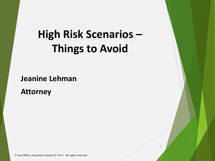## **High Risk Scenarios – Things to Avoid**

1

**Jeanine Lehman**

**Attorney**

© Law Offices of Jeanine Lehman PC 2015. All rights reserved.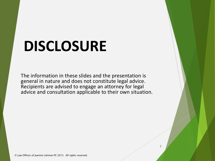# **DISCLOSURE**

The information in these slides and the presentation is general in nature and does not constitute legal advice. Recipients are advised to engage an attorney for legal advice and consultation applicable to their own situation.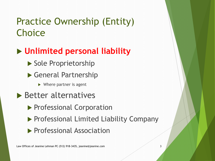#### Practice Ownership (Entity) **Choice**

#### **Unlimited personal liability**

- ▶ Sole Proprietorship
- General Partnership
	- ▶ Where partner is agent
- **Better alternatives** 
	- **Professional Corporation**
	- **Professional Limited Liability Company**
	- **Professional Association**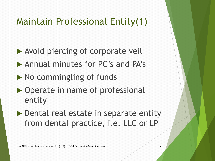### Maintain Professional Entity(1)

- ▶ Avoid piercing of corporate veil
- Annual minutes for PC's and PA's
- $\triangleright$  No commingling of funds
- ▶ Operate in name of professional entity
- ▶ Dental real estate in separate entity from dental practice, i.e. LLC or LP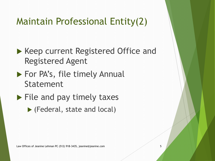### Maintain Professional Entity(2)

- $\blacktriangleright$  Keep current Registered Office and Registered Agent
- **For PA's, file timely Annual** Statement
- $\blacktriangleright$  File and pay timely taxes
	- (Federal, state and local)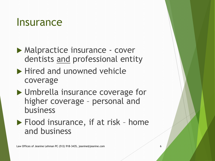### **Insurance**

- ▶ Malpractice insurance cover dentists and professional entity
- $\blacktriangleright$  Hired and unowned vehicle coverage
- ▶ Umbrella insurance coverage for higher coverage – personal and business
- ▶ Flood insurance, if at risk home and business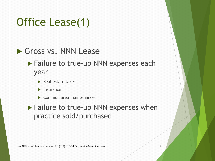## Office Lease(1)

#### Gross vs. NNN Lease

#### ▶ Failure to true-up NNN expenses each year

- $\blacktriangleright$  Real estate taxes
- $\blacktriangleright$  Insurance
- $\blacktriangleright$  Common area maintenance
- ▶ Failure to true-up NNN expenses when practice sold/purchased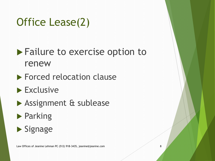## Office Lease(2)

#### ▶ Failure to exercise option to renew

#### **Forced relocation clause**

- $\blacktriangleright$  Exclusive
- Assignment & sublease
- $\blacktriangleright$  Parking

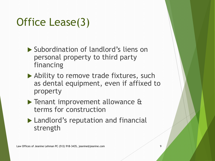## Office Lease(3)

- ▶ Subordination of landlord's liens on personal property to third party financing
- ▶ Ability to remove trade fixtures, such as dental equipment, even if affixed to property
- ▶ Tenant improvement allowance & terms for construction
- ▶ Landlord's reputation and financial strength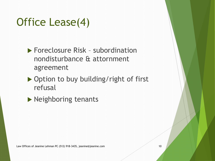## Office Lease(4)

- Foreclosure Risk subordination nondisturbance & attornment agreement
- ▶ Option to buy building/right of first refusal
- $\blacktriangleright$  Neighboring tenants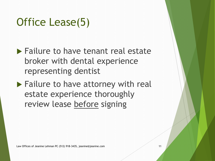## Office Lease(5)

- ▶ Failure to have tenant real estate broker with dental experience representing dentist
- $\blacktriangleright$  Failure to have attorney with real estate experience thoroughly review lease before signing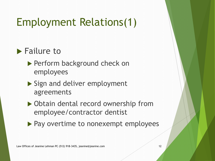## Employment Relations(1)

#### **Failure to**

- Perform background check on employees
- Sign and deliver employment agreements
- ▶ Obtain dental record ownership from employee/contractor dentist
- $\blacktriangleright$  Pay overtime to nonexempt employees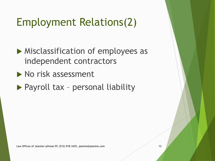## Employment Relations(2)

**Misclassification of employees as** independent contractors

- No risk assessment
- ▶ Payroll tax personal liability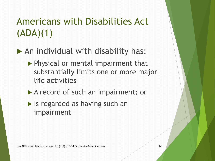### Americans with Disabilities Act (ADA)(1)

- ▶ An individual with disability has:
	- ▶ Physical or mental impairment that substantially limits one or more major life activities
	- A record of such an impairment; or
	- If Is regarded as having such an impairment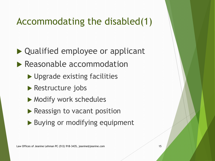### Accommodating the disabled(1)

▶ Qualified employee or applicant

- **Reasonable accommodation** 
	- ▶ Upgrade existing facilities
	- **Restructure jobs**
	- ▶ Modify work schedules
	- Reassign to vacant position
	- ▶ Buying or modifying equipment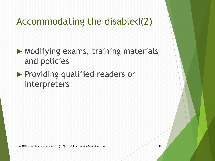#### Accommodating the disabled(2)

 $\blacktriangleright$  Modifying exams, training materials and policies

#### **Providing qualified readers or** interpreters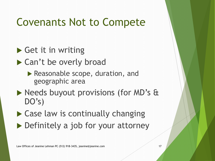## Covenants Not to Compete

 $\triangleright$  Get it in writing

▶ Can't be overly broad

- Reasonable scope, duration, and geographic area
- ▶ Needs buyout provisions (for MD's & DO's)
- $\triangleright$  Case law is continually changing
- ▶ Definitely a job for your attorney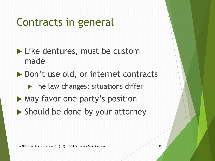### Contracts in general

▶ Like dentures, must be custom made

▶ Don't use old, or internet contracts The law changes; situations differ ▶ May favor one party's position ▶ Should be done by your attorney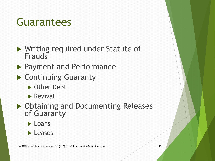## Guarantees

- ▶ Writing required under Statute of Frauds
- ▶ Payment and Performance
- ▶ Continuing Guaranty
	- ▶ Other Debt
	- $\blacktriangleright$  Revival
- ▶ Obtaining and Documenting Releases of Guaranty
	- $\blacktriangleright$  Loans

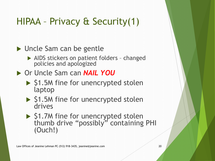### HIPAA – Privacy & Security(1)

▶ Uncle Sam can be gentle AIDS stickers on patient folders - changed policies and apologized Or Uncle Sam can *NAIL YOU*  $\triangleright$  \$1.5M fine for unencrypted stolen laptop  $\triangleright$  \$1.5M fine for unencrypted stolen drives ▶ \$1.7M fine for unencrypted stolen thumb drive "possibly" containing PHI

Law Offices of Jeanine Lehman PC (512) 918-3435, jeanine@jeanine.com 20

(Ouch!)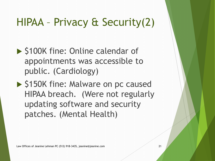## HIPAA – Privacy & Security(2)

- ▶ \$100K fine: Online calendar of appointments was accessible to public. (Cardiology)
- ▶ \$150K fine: Malware on pc caused HIPAA breach. (Were not regularly updating software and security patches. (Mental Health)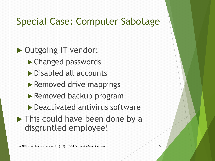#### Special Case: Computer Sabotage

▶ Outgoing IT vendor:

- ▶ Changed passwords
- ▶ Disabled all accounts
- ▶ Removed drive mappings
- ▶ Removed backup program
- Deactivated antivirus software
- **This could have been done by a** disgruntled employee!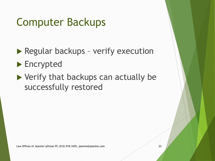## Computer Backups

▶ Regular backups - verify execution

#### ▶ Encrypted

 $\blacktriangleright$  Verify that backups can actually be successfully restored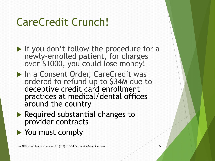## CareCredit Crunch!

- $\blacktriangleright$  If you don't follow the procedure for a newly-enrolled patient, for charges over \$1000, you could lose money!
- ▶ In a Consent Order, CareCredit was ordered to refund up to \$34M due to deceptive credit card enrollment practices at medical/dental offices around the country
- $\blacktriangleright$  Required substantial changes to provider contracts
- ▶ You must comply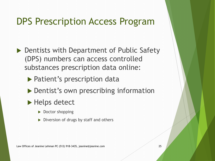#### DPS Prescription Access Program

- ▶ Dentists with Department of Public Safety (DPS) numbers can access controlled substances prescription data online:
	- ▶ Patient's prescription data
	- ▶ Dentist's own prescribing information
	- ▶ Helps detect
		- ▶ Doctor shopping
		- Diversion of drugs by staff and others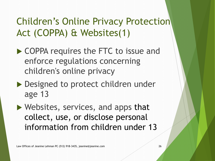#### Children's Online Privacy Protection Act (COPPA) & Websites(1)

- ▶ COPPA requires the FTC to issue and enforce regulations concerning children's online privacy
- ▶ Designed to protect children under age 13
- ▶ Websites, services, and apps that collect, use, or disclose personal information from children under 13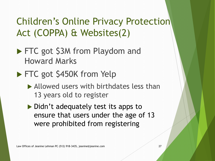#### Children's Online Privacy Protection Act (COPPA) & Websites(2)

- **FTC got \$3M from Playdom and** Howard Marks
- FTC got \$450K from Yelp
	- Allowed users with birthdates less than 13 years old to register
	- Didn't adequately test its apps to ensure that users under the age of 13 were prohibited from registering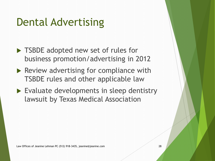### Dental Advertising

- ▶ TSBDE adopted new set of rules for business promotion/advertising in 2012
- $\blacktriangleright$  Review advertising for compliance with TSBDE rules and other applicable law
- Evaluate developments in sleep dentistry lawsuit by Texas Medical Association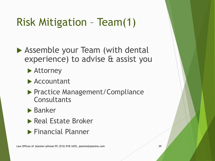## Risk Mitigation – Team(1)

▶ Assemble your Team (with dental experience) to advise & assist you

▶ Attorney

- ▶ Accountant
- **Practice Management/Compliance Consultants**
- **Banker**
- Real Estate Broker
- Financial Planner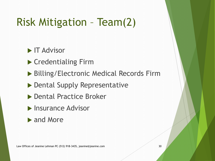## Risk Mitigation – Team(2)

 $\blacktriangleright$  IT Advisor

- ▶ Credentialing Firm
- ▶ Billing/Electronic Medical Records Firm
- ▶ Dental Supply Representative
- ▶ Dental Practice Broker
- $\blacktriangleright$  Insurance Advisor
- **And More**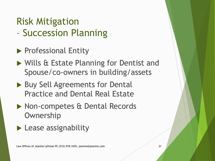### Risk Mitigation

- Succession Planning
- Professional Entity
- ▶ Wills & Estate Planning for Dentist and Spouse/co-owners in building/assets
- ▶ Buy Sell Agreements for Dental Practice and Dental Real Estate
- ▶ Non-competes & Dental Records **Ownership**
- **Lease assignability**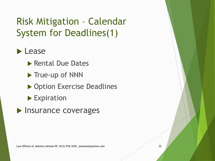#### Risk Mitigation – Calendar System for Deadlines(1)

#### **Lease**

- ▶ Rental Due Dates
- ▶ True-up of NNN
- ▶ Option Exercise Deadlines
- Expiration
- $\blacktriangleright$  Insurance coverages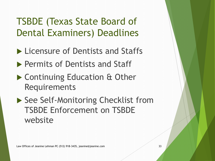TSBDE (Texas State Board of Dental Examiners) Deadlines

- **Licensure of Dentists and Staffs**
- **Permits of Dentists and Staff**
- ▶ Continuing Education & Other Requirements
- ▶ See Self-Monitoring Checklist from TSBDE Enforcement on TSBDE website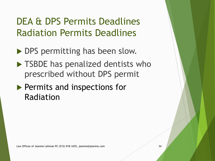#### DEA & DPS Permits Deadlines Radiation Permits Deadlines

- ▶ DPS permitting has been slow.
- **TSBDE has penalized dentists who** prescribed without DPS permit
- **Permits and inspections for** Radiation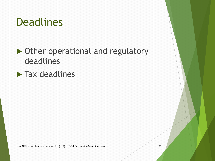### Deadlines

#### ▶ Other operational and regulatory deadlines

#### $\blacktriangleright$  Tax deadlines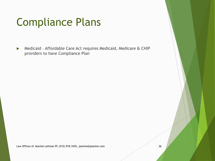### Compliance Plans

 Medicaid – Affordable Care Act requires Medicaid, Medicare & CHIP providers to have Compliance Plan